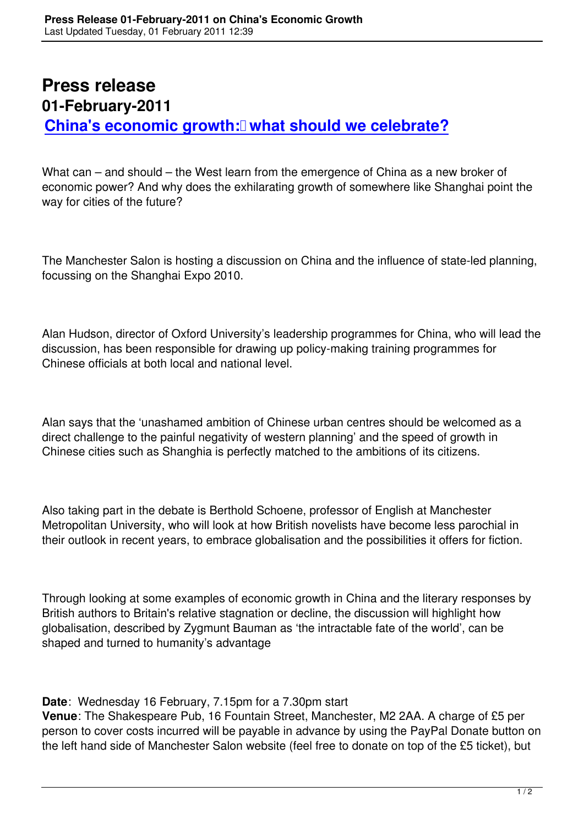## **Press release 01-February-2011** China's economic growth: **what should we celebrate?**

[What can – and should – the West learn from the emergence of China as a ne](planning-the-city-market-or-state-february-2011.html)w broker of economic power? And why does the exhilarating growth of somewhere like Shanghai point the way for cities of the future?

The Manchester Salon is hosting a discussion on China and the influence of state-led planning, focussing on the Shanghai Expo 2010.

Alan Hudson, director of Oxford University's leadership programmes for China, who will lead the discussion, has been responsible for drawing up policy-making training programmes for Chinese officials at both local and national level.

Alan says that the 'unashamed ambition of Chinese urban centres should be welcomed as a direct challenge to the painful negativity of western planning' and the speed of growth in Chinese cities such as Shanghia is perfectly matched to the ambitions of its citizens.

Also taking part in the debate is Berthold Schoene, professor of English at Manchester Metropolitan University, who will look at how British novelists have become less parochial in their outlook in recent years, to embrace globalisation and the possibilities it offers for fiction.

Through looking at some examples of economic growth in China and the literary responses by British authors to Britain's relative stagnation or decline, the discussion will highlight how globalisation, described by Zygmunt Bauman as 'the intractable fate of the world', can be shaped and turned to humanity's advantage

**Date**: Wednesday 16 February, 7.15pm for a 7.30pm start

**Venue**: The Shakespeare Pub, 16 Fountain Street, Manchester, M2 2AA. A charge of £5 per person to cover costs incurred will be payable in advance by using the PayPal Donate button on the left hand side of Manchester Salon website (feel free to donate on top of the £5 ticket), but